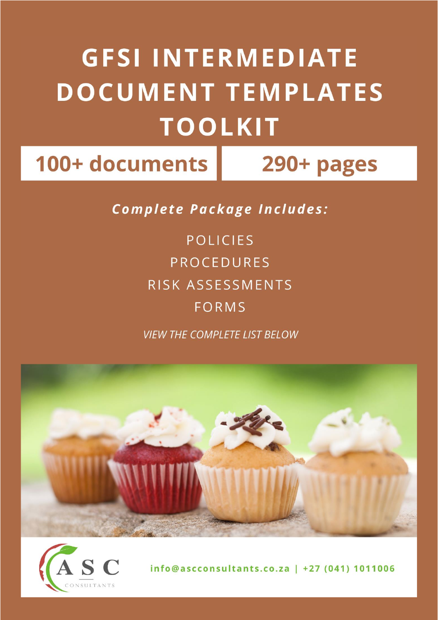## **GFSI INTERMEDIATE DOCUMENT TEMPLATES TOOLKIT**

100+ documents

290+ pages

**Complete Package Includes:** 

**POLICIES PROCEDURES** RISK ASSESSMENTS FORMS

**VIEW THE COMPLETE LIST BELOW** 





info@ascconsultants.co.za | +27 (041) 1011006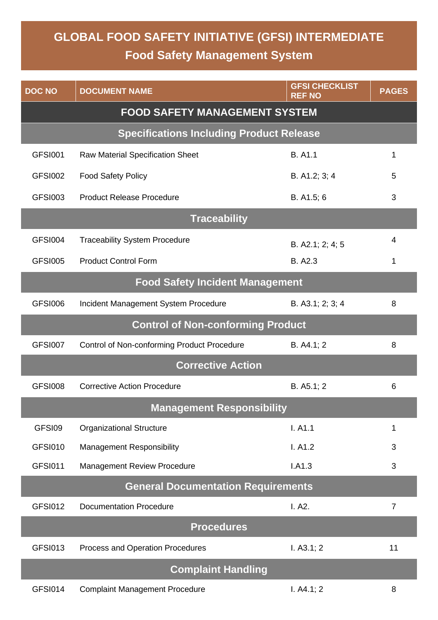## **GLOBAL FOOD SAFETY INITIATIVE (GFSI) INTERMEDIATE Food Safety Management System**

| <b>DOC NO</b>                             | <b>DOCUMENT NAME</b>                            | <b>GFSI CHECKLIST</b><br><b>REF NO</b> | <b>PAGES</b>   |
|-------------------------------------------|-------------------------------------------------|----------------------------------------|----------------|
|                                           | <b>FOOD SAFETY MANAGEMENT SYSTEM</b>            |                                        |                |
|                                           | <b>Specifications Including Product Release</b> |                                        |                |
| <b>GFSI001</b>                            | <b>Raw Material Specification Sheet</b>         | <b>B.</b> A1.1                         | 1              |
| <b>GFSI002</b>                            | <b>Food Safety Policy</b>                       | B. A1.2; 3; 4                          | 5              |
| GFSI003                                   | <b>Product Release Procedure</b>                | B. A1.5; 6                             | 3              |
| <b>Traceability</b>                       |                                                 |                                        |                |
| GFSI004                                   | <b>Traceability System Procedure</b>            | B. A2.1; 2; 4; 5                       | 4              |
| <b>GFSI005</b>                            | <b>Product Control Form</b>                     | B. A2.3                                | 1              |
|                                           | <b>Food Safety Incident Management</b>          |                                        |                |
| <b>GFSI006</b>                            | Incident Management System Procedure            | B. A3.1; 2; 3; 4                       | 8              |
|                                           | <b>Control of Non-conforming Product</b>        |                                        |                |
| GFSI007                                   | Control of Non-conforming Product Procedure     | B. A4.1; 2                             | 8              |
|                                           | <b>Corrective Action</b>                        |                                        |                |
| <b>GFSI008</b>                            | <b>Corrective Action Procedure</b>              | B. A5.1; 2                             | 6              |
| <b>Management Responsibility</b>          |                                                 |                                        |                |
| GFSI09                                    | <b>Organizational Structure</b>                 | I. A1.1                                | 1              |
| <b>GFSI010</b>                            | <b>Management Responsibility</b>                | I. A1.2                                | 3              |
| <b>GFSI011</b>                            | <b>Management Review Procedure</b>              | I.A1.3                                 | 3              |
| <b>General Documentation Requirements</b> |                                                 |                                        |                |
| <b>GFSI012</b>                            | <b>Documentation Procedure</b>                  | I. A2.                                 | $\overline{7}$ |
| <b>Procedures</b>                         |                                                 |                                        |                |
| <b>GFSI013</b>                            | Process and Operation Procedures                | I. A3.1; 2                             | 11             |
|                                           | <b>Complaint Handling</b>                       |                                        |                |
| GFSI014                                   | <b>Complaint Management Procedure</b>           | I. A4.1; 2                             | 8              |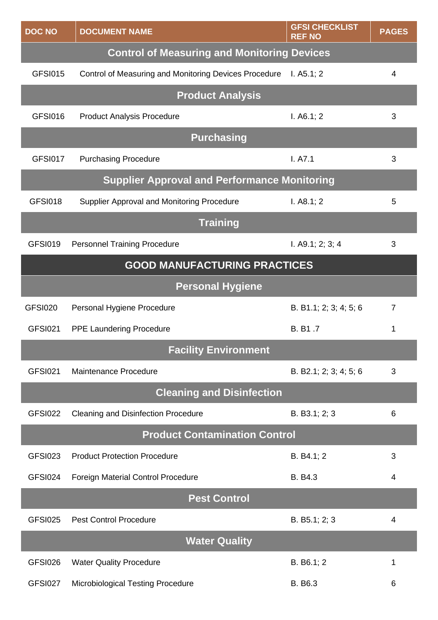| <b>DOC NO</b>                                      | <b>DOCUMENT NAME</b>                                  | <b>GFSI CHECKLIST</b><br><b>REF NO</b> | <b>PAGES</b> |
|----------------------------------------------------|-------------------------------------------------------|----------------------------------------|--------------|
| <b>Control of Measuring and Monitoring Devices</b> |                                                       |                                        |              |
| <b>GFSI015</b>                                     | Control of Measuring and Monitoring Devices Procedure | I. $A5.1; 2$                           | 4            |
|                                                    | <b>Product Analysis</b>                               |                                        |              |
| <b>GFSI016</b>                                     | <b>Product Analysis Procedure</b>                     | I. A6.1; 2                             | 3            |
|                                                    | <b>Purchasing</b>                                     |                                        |              |
| <b>GFSI017</b>                                     | <b>Purchasing Procedure</b>                           | I. A7.1                                | 3            |
|                                                    | <b>Supplier Approval and Performance Monitoring</b>   |                                        |              |
| GFSI018                                            | Supplier Approval and Monitoring Procedure            | I. A8.1; 2                             | 5            |
|                                                    | <b>Training</b>                                       |                                        |              |
| <b>GFSI019</b>                                     | <b>Personnel Training Procedure</b>                   | I. A9.1; 2; 3; 4                       | 3            |
|                                                    | <b>GOOD MANUFACTURING PRACTICES</b>                   |                                        |              |
|                                                    | <b>Personal Hygiene</b>                               |                                        |              |
| <b>GFSI020</b>                                     | Personal Hygiene Procedure                            | B. B1.1; 2; 3; 4; 5; 6                 | 7            |
| <b>GFSI021</b>                                     | <b>PPE Laundering Procedure</b>                       | B. B1.7                                | 1            |
|                                                    | <b>Facility Environment</b>                           |                                        |              |
| <b>GFSI021</b>                                     | Maintenance Procedure                                 | B. B2.1; 2; 3; 4; 5; 6                 | 3            |
| <b>Cleaning and Disinfection</b>                   |                                                       |                                        |              |
| GFSI022                                            | <b>Cleaning and Disinfection Procedure</b>            | B. B3.1; 2; 3                          | 6            |
| <b>Product Contamination Control</b>               |                                                       |                                        |              |
| GFSI023                                            | <b>Product Protection Procedure</b>                   | B. B4.1; 2                             | 3            |
| GFSI024                                            | <b>Foreign Material Control Procedure</b>             | <b>B.</b> B4.3                         | 4            |
| <b>Pest Control</b>                                |                                                       |                                        |              |
| GFSI025                                            | <b>Pest Control Procedure</b>                         | B. B5.1; 2; 3                          | 4            |
| <b>Water Quality</b>                               |                                                       |                                        |              |
| GFSI026                                            | <b>Water Quality Procedure</b>                        | B. B6.1; 2                             | 1            |
| GFSI027                                            | <b>Microbiological Testing Procedure</b>              | B. B6.3                                | 6            |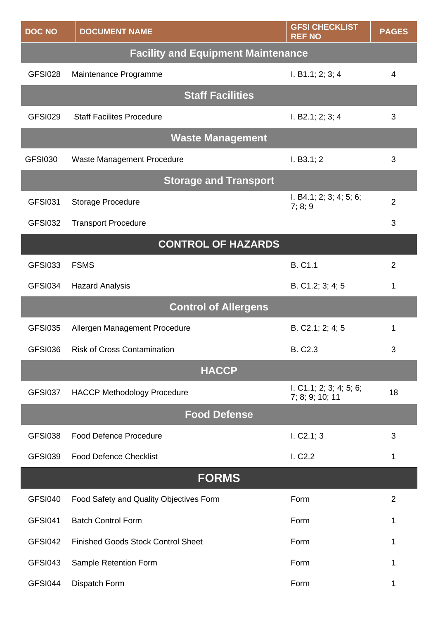| <b>DOC NO</b>       | <b>DOCUMENT NAME</b>                      | <b>GFSI CHECKLIST</b><br><b>REF NO</b>     | <b>PAGES</b>   |
|---------------------|-------------------------------------------|--------------------------------------------|----------------|
|                     | <b>Facility and Equipment Maintenance</b> |                                            |                |
| <b>GFSI028</b>      | Maintenance Programme                     | I. B1.1; 2; 3; 4                           | 4              |
|                     | <b>Staff Facilities</b>                   |                                            |                |
| GFSI029             | <b>Staff Facilites Procedure</b>          | I. B2.1; 2; 3; 4                           | 3              |
|                     | <b>Waste Management</b>                   |                                            |                |
| <b>GFSI030</b>      | Waste Management Procedure                | I. B3.1; 2                                 | 3              |
|                     | <b>Storage and Transport</b>              |                                            |                |
| <b>GFSI031</b>      | <b>Storage Procedure</b>                  | I. B4.1; 2; 3; 4; 5; 6;<br>7; 8; 9         | $\overline{2}$ |
| GFSI032             | <b>Transport Procedure</b>                |                                            | 3              |
|                     | <b>CONTROL OF HAZARDS</b>                 |                                            |                |
| <b>GFSI033</b>      | <b>FSMS</b>                               | <b>B. C1.1</b>                             | $\overline{2}$ |
| GFSI034             | <b>Hazard Analysis</b>                    | B. C1.2; 3; 4; 5                           | 1              |
|                     | <b>Control of Allergens</b>               |                                            |                |
| <b>GFSI035</b>      | Allergen Management Procedure             | B. C2.1; 2; 4; 5                           | 1              |
| <b>GFSI036</b>      | <b>Risk of Cross Contamination</b>        | <b>B. C2.3</b>                             | 3              |
|                     | <b>HACCP</b>                              |                                            |                |
| GFSI037             | <b>HACCP Methodology Procedure</b>        | I. C1.1; 2; 3; 4; 5; 6;<br>7; 8; 9; 10; 11 | 18             |
| <b>Food Defense</b> |                                           |                                            |                |
| <b>GFSI038</b>      | <b>Food Defence Procedure</b>             | 1. C2.1; 3                                 | 3              |
| <b>GFSI039</b>      | <b>Food Defence Checklist</b>             | I. C <sub>2.2</sub>                        | 1              |
| <b>FORMS</b>        |                                           |                                            |                |
| <b>GFSI040</b>      | Food Safety and Quality Objectives Form   | Form                                       | $\overline{2}$ |
| <b>GFSI041</b>      | <b>Batch Control Form</b>                 | Form                                       | 1              |
| <b>GFSI042</b>      | <b>Finished Goods Stock Control Sheet</b> | Form                                       | 1              |
| <b>GFSI043</b>      | Sample Retention Form                     | Form                                       | 1              |
| GFSI044             | Dispatch Form                             | Form                                       | 1              |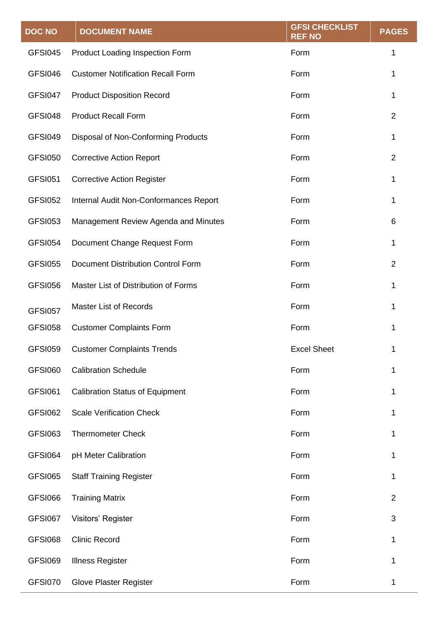| <b>DOC NO</b>  | <b>DOCUMENT NAME</b>                      | <b>GFSI CHECKLIST</b><br><b>REF NO</b> | <b>PAGES</b>   |
|----------------|-------------------------------------------|----------------------------------------|----------------|
| GFSI045        | Product Loading Inspection Form           | Form                                   | 1              |
| GFSI046        | <b>Customer Notification Recall Form</b>  | Form                                   | 1              |
| GFSI047        | <b>Product Disposition Record</b>         | Form                                   | 1              |
| GFSI048        | <b>Product Recall Form</b>                | Form                                   | $\overline{2}$ |
| GFSI049        | Disposal of Non-Conforming Products       | Form                                   | 1              |
| <b>GFSI050</b> | <b>Corrective Action Report</b>           | Form                                   | $\overline{2}$ |
| <b>GFSI051</b> | <b>Corrective Action Register</b>         | Form                                   | $\mathbf{1}$   |
| <b>GFSI052</b> | Internal Audit Non-Conformances Report    | Form                                   | 1              |
| <b>GFSI053</b> | Management Review Agenda and Minutes      | Form                                   | 6              |
| <b>GFSI054</b> | Document Change Request Form              | Form                                   | 1              |
| <b>GFSI055</b> | <b>Document Distribution Control Form</b> | Form                                   | $\overline{2}$ |
| <b>GFSI056</b> | Master List of Distribution of Forms      | Form                                   | $\mathbf{1}$   |
| <b>GFSI057</b> | <b>Master List of Records</b>             | Form                                   | 1              |
| <b>GFSI058</b> | <b>Customer Complaints Form</b>           | Form                                   | 1              |
| <b>GFSI059</b> | <b>Customer Complaints Trends</b>         | <b>Excel Sheet</b>                     |                |
| <b>GFSI060</b> | <b>Calibration Schedule</b>               | Form                                   | 1              |
| <b>GFSI061</b> | <b>Calibration Status of Equipment</b>    | Form                                   | 1              |
| <b>GFSI062</b> | <b>Scale Verification Check</b>           | Form                                   | 1              |
| <b>GFSI063</b> | <b>Thermometer Check</b>                  | Form                                   | 1              |
| GFSI064        | pH Meter Calibration                      | Form                                   | 1              |
| <b>GFSI065</b> | <b>Staff Training Register</b>            | Form                                   | 1              |
| GFSI066        | <b>Training Matrix</b>                    | Form                                   | 2              |
| GFSI067        | Visitors' Register                        | Form                                   | 3              |
| <b>GFSI068</b> | <b>Clinic Record</b>                      | Form                                   | 1              |
| GFSI069        | <b>Illness Register</b>                   | Form                                   | 1              |
| GFSI070        | <b>Glove Plaster Register</b>             | Form                                   | 1              |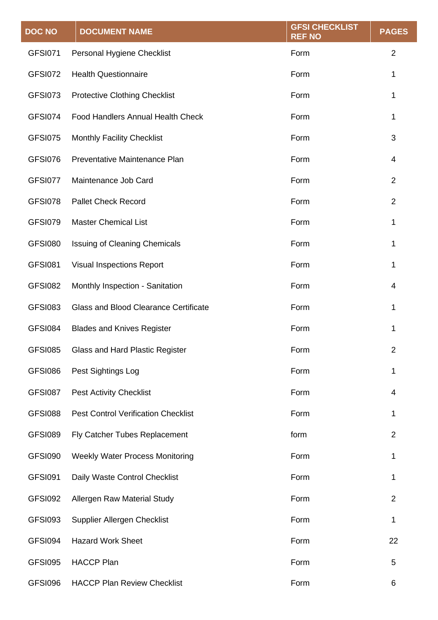| <b>DOC NO</b>  | <b>DOCUMENT NAME</b>                         | <b>GFSI CHECKLIST</b><br><b>REF NO</b> | <b>PAGES</b>   |
|----------------|----------------------------------------------|----------------------------------------|----------------|
| <b>GFSI071</b> | Personal Hygiene Checklist                   | Form                                   | $\overline{2}$ |
| GFSI072        | <b>Health Questionnaire</b>                  | Form                                   | 1              |
| GFSI073        | <b>Protective Clothing Checklist</b>         | Form                                   | 1              |
| <b>GFSI074</b> | <b>Food Handlers Annual Health Check</b>     | Form                                   | 1              |
| <b>GFSI075</b> | <b>Monthly Facility Checklist</b>            | Form                                   | 3              |
| GFSI076        | Preventative Maintenance Plan                | Form                                   | 4              |
| GFSI077        | Maintenance Job Card                         | Form                                   | $\overline{2}$ |
| GFSI078        | <b>Pallet Check Record</b>                   | Form                                   | $\overline{2}$ |
| GFSI079        | <b>Master Chemical List</b>                  | Form                                   | 1              |
| <b>GFSI080</b> | <b>Issuing of Cleaning Chemicals</b>         | Form                                   | 1              |
| <b>GFSI081</b> | <b>Visual Inspections Report</b>             | Form                                   | 1              |
| GFSI082        | Monthly Inspection - Sanitation              | Form                                   | 4              |
| <b>GFSI083</b> | <b>Glass and Blood Clearance Certificate</b> | Form                                   | 1              |
| <b>GFSI084</b> | <b>Blades and Knives Register</b>            | Form                                   | 1              |
| <b>GFSI085</b> | Glass and Hard Plastic Register              | Form                                   | 2              |
| GFSI086        | Pest Sightings Log                           | Form                                   | 1              |
| GFSI087        | <b>Pest Activity Checklist</b>               | Form                                   | 4              |
| <b>GFSI088</b> | <b>Pest Control Verification Checklist</b>   | Form                                   | 1              |
| <b>GFSI089</b> | Fly Catcher Tubes Replacement                | form                                   | $\overline{2}$ |
| GFSI090        | <b>Weekly Water Process Monitoring</b>       | Form                                   | 1              |
| GFSI091        | Daily Waste Control Checklist                | Form                                   | 1              |
| GFSI092        | Allergen Raw Material Study                  | Form                                   | $\overline{2}$ |
| GFSI093        | Supplier Allergen Checklist                  | Form                                   | 1              |
| GFSI094        | <b>Hazard Work Sheet</b>                     | Form                                   | 22             |
| <b>GFSI095</b> | <b>HACCP Plan</b>                            | Form                                   | 5              |
| GFSI096        | <b>HACCP Plan Review Checklist</b>           | Form                                   | 6              |